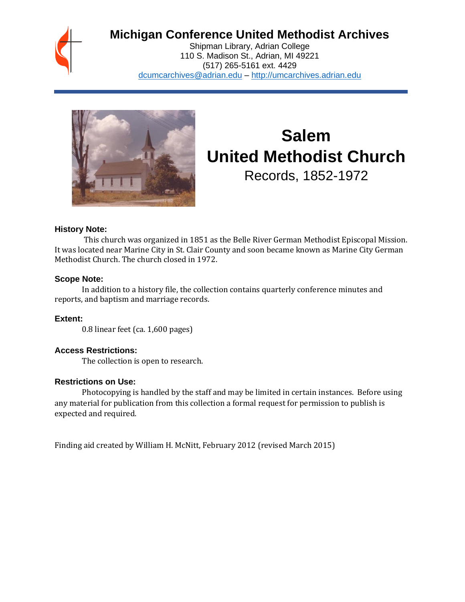## **Michigan Conference United Methodist Archives**

Shipman Library, Adrian College 110 S. Madison St., Adrian, MI 49221 (517) 265-5161 ext. 4429 [dcumcarchives@adrian.edu](mailto:dcumcarchives@adrian.edu) – [http://umcarchives.adrian.edu](http://umcarchives.adrian.edu/)



# **Salem United Methodist Church**

Records, 1852-1972

#### **History Note:**

This church was organized in 1851 as the Belle River German Methodist Episcopal Mission. It was located near Marine City in St. Clair County and soon became known as Marine City German Methodist Church. The church closed in 1972.

#### **Scope Note:**

In addition to a history file, the collection contains quarterly conference minutes and reports, and baptism and marriage records.

#### **Extent:**

0.8 linear feet (ca. 1,600 pages)

#### **Access Restrictions:**

The collection is open to research.

#### **Restrictions on Use:**

Photocopying is handled by the staff and may be limited in certain instances. Before using any material for publication from this collection a formal request for permission to publish is expected and required.

Finding aid created by William H. McNitt, February 2012 (revised March 2015)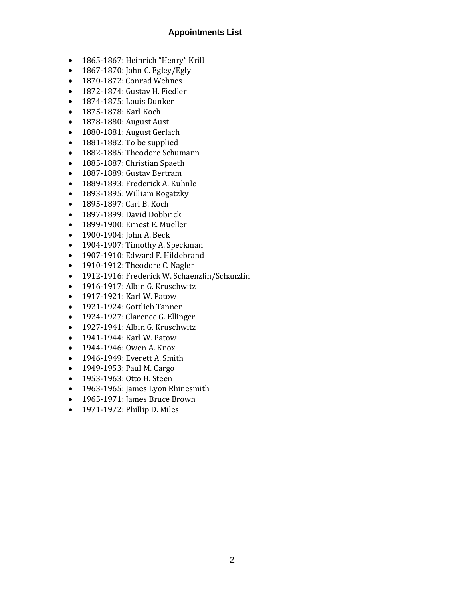#### **Appointments List**

- 1865-1867: Heinrich "Henry" Krill
- 1867-1870: John C. Egley/Egly
- 1870-1872: Conrad Wehnes
- 1872-1874: Gustav H. Fiedler
- 1874-1875: Louis Dunker
- 1875-1878: Karl Koch
- 1878-1880: August Aust
- 1880-1881: August Gerlach
- 1881-1882: To be supplied
- 1882-1885: Theodore Schumann
- 1885-1887: Christian Spaeth
- 1887-1889: Gustav Bertram
- 1889-1893: Frederick A. Kuhnle
- 1893-1895: William Rogatzky
- 1895-1897: Carl B. Koch
- 1897-1899: David Dobbrick
- 1899-1900: Ernest E. Mueller
- 1900-1904: John A. Beck
- 1904-1907: Timothy A. Speckman
- 1907-1910: Edward F. Hildebrand
- 1910-1912: Theodore C. Nagler
- 1912-1916: Frederick W. Schaenzlin/Schanzlin
- 1916-1917: Albin G. Kruschwitz
- 1917-1921: Karl W. Patow
- 1921-1924: Gottlieb Tanner
- 1924-1927: Clarence G. Ellinger
- 1927-1941: Albin G. Kruschwitz
- 1941-1944: Karl W. Patow
- 1944-1946: Owen A. Knox
- 1946-1949: Everett A. Smith
- 1949-1953: Paul M. Cargo
- 1953-1963: Otto H. Steen
- 1963-1965: James Lyon Rhinesmith
- 1965-1971: James Bruce Brown
- 1971-1972: Phillip D. Miles